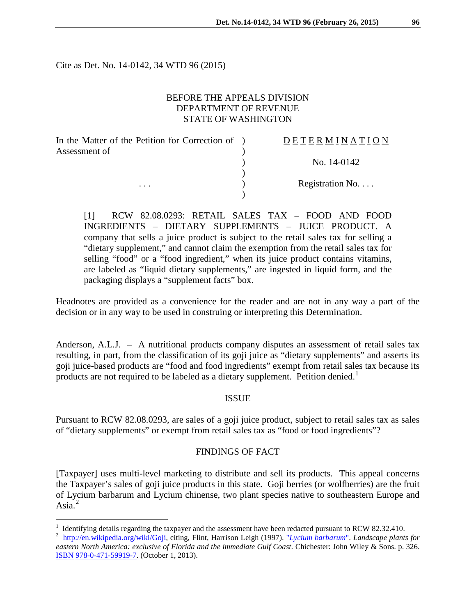Cite as Det. No. 14-0142, 34 WTD 96 (2015)

 $\overline{a}$ 

### BEFORE THE APPEALS DIVISION DEPARTMENT OF REVENUE STATE OF WASHINGTON

| In the Matter of the Petition for Correction of ) | DETERMINATION    |
|---------------------------------------------------|------------------|
| Assessment of                                     |                  |
|                                                   | No. 14-0142      |
|                                                   |                  |
| $\cdots$                                          | Registration No. |
|                                                   |                  |

[1] RCW 82.08.0293: RETAIL SALES TAX – FOOD AND FOOD INGREDIENTS – DIETARY SUPPLEMENTS – JUICE PRODUCT. A company that sells a juice product is subject to the retail sales tax for selling a "dietary supplement," and cannot claim the exemption from the retail sales tax for selling "food" or a "food ingredient," when its juice product contains vitamins, are labeled as "liquid dietary supplements," are ingested in liquid form, and the packaging displays a "supplement facts" box.

Headnotes are provided as a convenience for the reader and are not in any way a part of the decision or in any way to be used in construing or interpreting this Determination.

Anderson, A.L.J. – A nutritional products company disputes an assessment of retail sales tax resulting, in part, from the classification of its goji juice as "dietary supplements" and asserts its goji juice-based products are "food and food ingredients" exempt from retail sales tax because its products are not required to be labeled as a dietary supplement. Petition denied.<sup>[1](#page-0-0)</sup>

### ISSUE

Pursuant to RCW 82.08.0293, are sales of a goji juice product, subject to retail sales tax as sales of "dietary supplements" or exempt from retail sales tax as "food or food ingredients"?

### FINDINGS OF FACT

[Taxpayer] uses multi-level marketing to distribute and sell its products. This appeal concerns the Taxpayer's sales of goji juice products in this state. Goji berries (or wolfberries) are the fruit of Lycium barbarum and Lycium chinense, two plant species native to southeastern Europe and Asia. $^{2}$  $^{2}$  $^{2}$ 

<span id="page-0-0"></span><sup>&</sup>lt;sup>1</sup> Identifying details regarding the taxpayer and the assessment have been redacted pursuant to RCW 82.32.410.<br><sup>2</sup> [http://en.wikipedia.org/wiki/Goji,](http://en.wikipedia.org/wiki/Goji) citing, Flint, Harrison Leigh (1997). "*[Lycium barbarum](http://books.google.com/books?id=Q1_fAywb_bkC&pg=PA326)*". *Landscape* 

<span id="page-0-1"></span>*eastern North America: exclusive of Florida and the immediate Gulf Coast*. Chichester: John Wiley & Sons. p. 326. [ISBN](http://en.wikipedia.org/wiki/International_Standard_Book_Number) [978-0-471-59919-7.](http://en.wikipedia.org/wiki/Special:BookSources/978-0-471-59919-7) (October 1, 2013).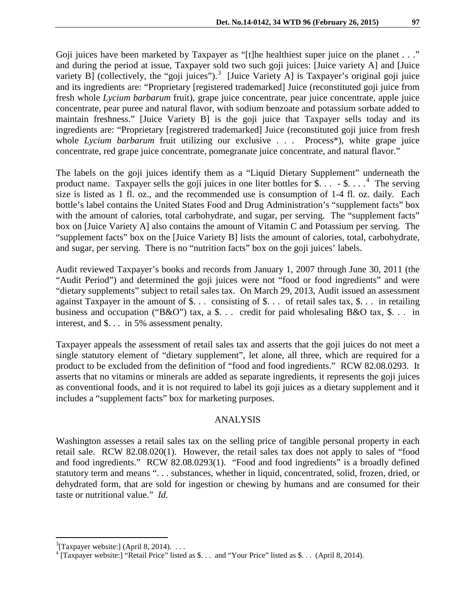Goji juices have been marketed by Taxpayer as "[t]he healthiest super juice on the planet . . ." and during the period at issue, Taxpayer sold two such goji juices: [Juice variety A] and [Juice variety B] (collectively, the "goji juices").<sup>[3](#page-1-0)</sup> [Juice Variety A] is Taxpayer's original goji juice and its ingredients are: "Proprietary [registered trademarked] Juice (reconstituted goji juice from fresh whole *Lycium barbarum* fruit), grape juice concentrate, pear juice concentrate, apple juice concentrate, pear puree and natural flavor, with sodium benzoate and potassium sorbate added to maintain freshness." [Juice Variety B] is the goji juice that Taxpayer sells today and its ingredients are: "Proprietary [registrered trademarked] Juice (reconstituted goji juice from fresh whole *Lycium barbarum* fruit utilizing our exclusive . . . Process\*), white grape juice concentrate, red grape juice concentrate, pomegranate juice concentrate, and natural flavor."

The labels on the goji juices identify them as a "Liquid Dietary Supplement" underneath the product name. Taxpayer sells the goji juices in one liter bottles for \$ $\ldots$  - \$ $\ldots$ . The serving size is listed as 1 fl. oz., and the recommended use is consumption of 1-4 fl. oz. daily. Each bottle's label contains the United States Food and Drug Administration's "supplement facts" box with the amount of calories, total carbohydrate, and sugar, per serving. The "supplement facts" box on [Juice Variety A] also contains the amount of Vitamin C and Potassium per serving. The "supplement facts" box on the [Juice Variety B] lists the amount of calories, total, carbohydrate, and sugar, per serving. There is no "nutrition facts" box on the goji juices' labels.

Audit reviewed Taxpayer's books and records from January 1, 2007 through June 30, 2011 (the "Audit Period") and determined the goji juices were not "food or food ingredients" and were "dietary supplements" subject to retail sales tax. On March 29, 2013, Audit issued an assessment against Taxpayer in the amount of \$. . . consisting of \$. . . of retail sales tax, \$. . . in retailing business and occupation ("B&O") tax, a \$... credit for paid wholesaling B&O tax, \$... in interest, and \$. . . in 5% assessment penalty.

Taxpayer appeals the assessment of retail sales tax and asserts that the goji juices do not meet a single statutory element of "dietary supplement", let alone, all three, which are required for a product to be excluded from the definition of "food and food ingredients." RCW 82.08.0293. It asserts that no vitamins or minerals are added as separate ingredients, it represents the goji juices as conventional foods, and it is not required to label its goji juices as a dietary supplement and it includes a "supplement facts" box for marketing purposes.

### ANALYSIS

Washington assesses a retail sales tax on the selling price of tangible personal property in each retail sale. RCW 82.08.020(1). However, the retail sales tax does not apply to sales of "food and food ingredients." RCW 82.08.0293(1). "Food and food ingredients" is a broadly defined statutory term and means ". . . substances, whether in liquid, concentrated, solid, frozen, dried, or dehydrated form, that are sold for ingestion or chewing by humans and are consumed for their taste or nutritional value." *Id.*

 $\overline{a}$ 

<span id="page-1-0"></span> $3$ [Taxpayer website:] (April 8, 2014)...

<span id="page-1-1"></span><sup>&</sup>lt;sup>4</sup> [Taxpayer website:] "Retail Price" listed as \$. . . and "Your Price" listed as \$. . . (April 8, 2014).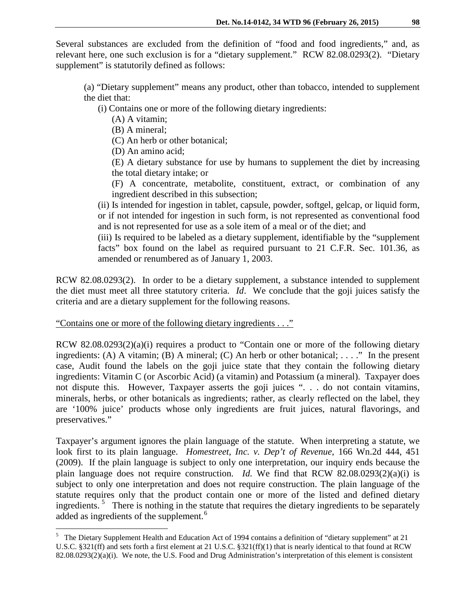Several substances are excluded from the definition of "food and food ingredients," and, as relevant here, one such exclusion is for a "dietary supplement." RCW 82.08.0293(2). "Dietary supplement" is statutorily defined as follows:

(a) "Dietary supplement" means any product, other than tobacco, intended to supplement the diet that:

(i) Contains one or more of the following dietary ingredients:

(A) A vitamin;

(B) A mineral;

(C) An herb or other botanical;

(D) An amino acid;

(E) A dietary substance for use by humans to supplement the diet by increasing the total dietary intake; or

(F) A concentrate, metabolite, constituent, extract, or combination of any ingredient described in this subsection;

(ii) Is intended for ingestion in tablet, capsule, powder, softgel, gelcap, or liquid form, or if not intended for ingestion in such form, is not represented as conventional food and is not represented for use as a sole item of a meal or of the diet; and

(iii) Is required to be labeled as a dietary supplement, identifiable by the "supplement facts" box found on the label as required pursuant to 21 C.F.R. Sec. 101.36, as amended or renumbered as of January 1, 2003.

RCW 82.08.0293(2). In order to be a dietary supplement, a substance intended to supplement the diet must meet all three statutory criteria. *Id*. We conclude that the goji juices satisfy the criteria and are a dietary supplement for the following reasons.

## "Contains one or more of the following dietary ingredients . . ."

 $\overline{a}$ 

RCW 82.08.0293(2)(a)(i) requires a product to "Contain one or more of the following dietary ingredients: (A) A vitamin; (B) A mineral; (C) An herb or other botanical; ...." In the present case, Audit found the labels on the goji juice state that they contain the following dietary ingredients: Vitamin C (or Ascorbic Acid) (a vitamin) and Potassium (a mineral). Taxpayer does not dispute this. However, Taxpayer asserts the goji juices ". . . do not contain vitamins, minerals, herbs, or other botanicals as ingredients; rather, as clearly reflected on the label, they are '100% juice' products whose only ingredients are fruit juices, natural flavorings, and preservatives."

Taxpayer's argument ignores the plain language of the statute. When interpreting a statute, we look first to its plain language. *Homestreet, Inc. v. Dep't of Revenue,* 166 Wn.2d 444, 451 (2009). If the plain language is subject to only one interpretation, our inquiry ends because the plain language does not require construction. *Id.* We find that RCW 82.08.0293(2)(a)(i) is subject to only one interpretation and does not require construction. The plain language of the statute requires only that the product contain one or more of the listed and defined dietary ingredients.<sup>[5](#page-2-0)</sup> There is nothing in the statute that requires the dietary ingredients to be separately added as ingredients of the supplement.<sup>[6](#page-2-1)</sup>

<span id="page-2-1"></span><span id="page-2-0"></span><sup>&</sup>lt;sup>5</sup> The Dietary Supplement Health and Education Act of 1994 contains a definition of "dietary supplement" at 21 U.S.C. §321(ff) and sets forth a first element at 21 U.S.C. §321(ff)(1) that is nearly identical to that found at RCW  $82.08.0293(2)(a)(i)$ . We note, the U.S. Food and Drug Administration's interpretation of this element is consistent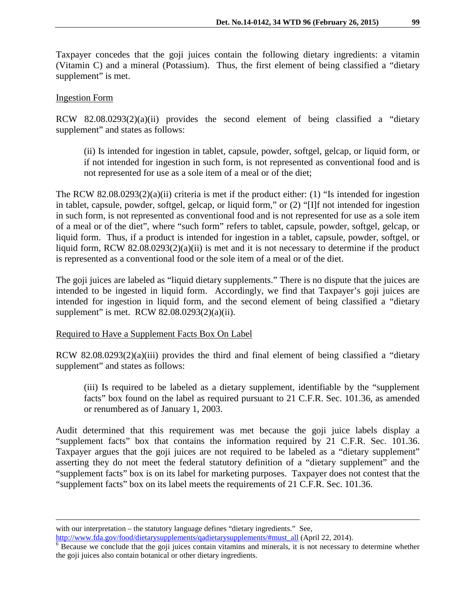Taxpayer concedes that the goji juices contain the following dietary ingredients: a vitamin (Vitamin C) and a mineral (Potassium). Thus, the first element of being classified a "dietary supplement" is met.

### Ingestion Form

 $\overline{a}$ 

RCW 82.08.0293(2)(a)(ii) provides the second element of being classified a "dietary supplement" and states as follows:

(ii) Is intended for ingestion in tablet, capsule, powder, softgel, gelcap, or liquid form, or if not intended for ingestion in such form, is not represented as conventional food and is not represented for use as a sole item of a meal or of the diet;

The RCW 82.08.0293(2)(a)(ii) criteria is met if the product either: (1) "Is intended for ingestion in tablet, capsule, powder, softgel, gelcap, or liquid form," or (2) "[I]f not intended for ingestion in such form, is not represented as conventional food and is not represented for use as a sole item of a meal or of the diet", where "such form" refers to tablet, capsule, powder, softgel, gelcap, or liquid form. Thus, if a product is intended for ingestion in a tablet, capsule, powder, softgel, or liquid form, RCW 82.08.0293(2)(a)(ii) is met and it is not necessary to determine if the product is represented as a conventional food or the sole item of a meal or of the diet.

The goji juices are labeled as "liquid dietary supplements." There is no dispute that the juices are intended to be ingested in liquid form. Accordingly, we find that Taxpayer's goji juices are intended for ingestion in liquid form, and the second element of being classified a "dietary supplement" is met. RCW 82.08.0293(2)(a)(ii).

### Required to Have a Supplement Facts Box On Label

RCW 82.08.0293(2)(a)(iii) provides the third and final element of being classified a "dietary supplement" and states as follows:

(iii) Is required to be labeled as a dietary supplement, identifiable by the "supplement facts" box found on the label as required pursuant to 21 C.F.R. Sec. 101.36, as amended or renumbered as of January 1, 2003.

Audit determined that this requirement was met because the goji juice labels display a "supplement facts" box that contains the information required by 21 C.F.R. Sec. 101.36. Taxpayer argues that the goji juices are not required to be labeled as a "dietary supplement" asserting they do not meet the federal statutory definition of a "dietary supplement" and the "supplement facts" box is on its label for marketing purposes. Taxpayer does not contest that the "supplement facts" box on its label meets the requirements of 21 C.F.R. Sec. 101.36.

with our interpretation – the statutory language defines "dietary ingredients." See,

 $\frac{\text{http://www.fda.gov/food/dietarysupplements/qadietarysupplements/$ #must\_all (April 22, 2014).<br><sup>6</sup> Because we conclude that the goji juices contain vitamins and minerals, it is not necessary to determine whether the goji juices also contain botanical or other dietary ingredients.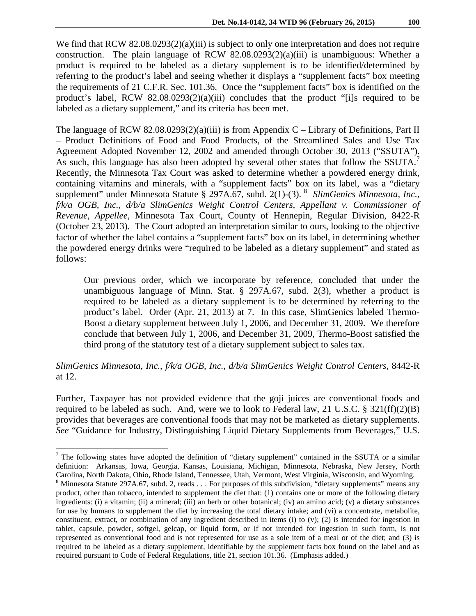We find that RCW 82.08.0293(2)(a)(iii) is subject to only one interpretation and does not require construction. The plain language of RCW  $82.08.0293(2)(a)(iii)$  is unambiguous: Whether a product is required to be labeled as a dietary supplement is to be identified/determined by referring to the product's label and seeing whether it displays a "supplement facts" box meeting the requirements of 21 C.F.R. Sec. 101.36. Once the "supplement facts" box is identified on the product's label, RCW  $82.08.0293(2)(a)(iii)$  concludes that the product "[i]s required to be labeled as a dietary supplement," and its criteria has been met.

The language of RCW 82.08.0293(2)(a)(iii) is from Appendix C – Library of Definitions, Part II – Product Definitions of Food and Food Products, of the Streamlined Sales and Use Tax Agreement Adopted November 12, 2002 and amended through October 30, 2013 ("SSUTA"). As such, this language has also been adopted by several other states that follow the SSUTA.<sup>[7](#page-4-0)</sup> Recently, the Minnesota Tax Court was asked to determine whether a powdered energy drink, containing vitamins and minerals, with a "supplement facts" box on its label, was a "dietary supplement" under Minnesota Statute § 297A.67, subd. 2(1)-(3). <sup>[8](#page-4-1)</sup> SlimGenics Minnesota, Inc., *f/k/a OGB, Inc., d/b/a SlimGenics Weight Control Centers, Appellant v. Commissioner of Revenue, Appellee,* Minnesota Tax Court, County of Hennepin, Regular Division, 8422-R (October 23, 2013). The Court adopted an interpretation similar to ours, looking to the objective factor of whether the label contains a "supplement facts" box on its label, in determining whether the powdered energy drinks were "required to be labeled as a dietary supplement" and stated as follows:

Our previous order, which we incorporate by reference, concluded that under the unambiguous language of Minn. Stat. § 297A.67, subd. 2(3), whether a product is required to be labeled as a dietary supplement is to be determined by referring to the product's label. Order (Apr. 21, 2013) at 7. In this case, SlimGenics labeled Thermo-Boost a dietary supplement between July 1, 2006, and December 31, 2009. We therefore conclude that between July 1, 2006, and December 31, 2009, Thermo-Boost satisfied the third prong of the statutory test of a dietary supplement subject to sales tax.

# *SlimGenics Minnesota, Inc., f/k/a OGB, Inc., d/b/a SlimGenics Weight Control Centers,* 8442-R at 12.

Further, Taxpayer has not provided evidence that the goji juices are conventional foods and required to be labeled as such. And, were we to look to Federal law, 21 U.S.C. § 321(ff)(2)(B) provides that beverages are conventional foods that may not be marketed as dietary supplements. *See* "Guidance for Industry, Distinguishing Liquid Dietary Supplements from Beverages," U.S.

 $\overline{a}$ 

<span id="page-4-1"></span><span id="page-4-0"></span> $<sup>7</sup>$  The following states have adopted the definition of "dietary supplement" contained in the SSUTA or a similar</sup> definition: Arkansas, Iowa, Georgia, Kansas, Louisiana, Michigan, Minnesota, Nebraska, New Jersey, North Carolina, North Dakota, Ohio, Rhode Island, Tennessee, Utah, Vermont, West Virginia, Wisconsin, and Wyoming.  $^8$  Minnesota Statute 297A.67, subd. 2, reads . . . For purposes of this subdivision, "dietary supplements" means any product, other than tobacco, intended to supplement the diet that: (1) contains one or more of the following dietary ingredients: (i) a vitamin; (ii) a mineral; (iii) an herb or other botanical; (iv) an amino acid; (v) a dietary substances for use by humans to supplement the diet by increasing the total dietary intake; and (vi) a concentrate, metabolite, constituent, extract, or combination of any ingredient described in items (i) to  $(v)$ ; (2) is intended for ingestion in tablet, capsule, powder, softgel, gelcap, or liquid form, or if not intended for ingestion in such form, is not represented as conventional food and is not represented for use as a sole item of a meal or of the diet; and (3) is required to be labeled as a dietary supplement, identifiable by the supplement facts box found on the label and as required pursuant to Code of Federal Regulations, title 21, section 101.36. (Emphasis added.)